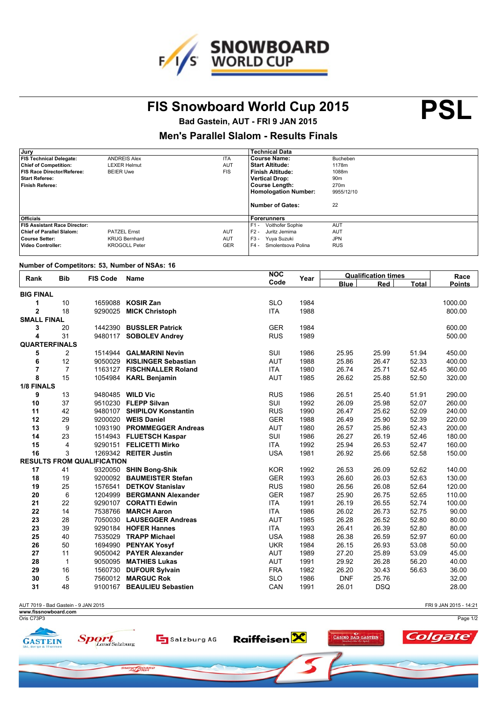

FIS Snowboard World Cup 2015 **PSL** 

**Bad Gastein, AUT - FRI 9 JAN 2015**

## **Men's Parallel Slalom - Results Finals**

| Jury                                |                      |            | <b>Technical Data</b>        |                 |
|-------------------------------------|----------------------|------------|------------------------------|-----------------|
| <b>FIS Technical Delegate:</b>      | <b>ANDREIS Alex</b>  | <b>ITA</b> | <b>Course Name:</b>          | Bucheben        |
| <b>Chief of Competition:</b>        | <b>LEXER Helmut</b>  | <b>AUT</b> | <b>Start Altitude:</b>       | 1178m           |
| FIS Race Director/Referee:          | <b>BEIER Uwe</b>     | <b>FIS</b> | Finish Altitude:             | 1088m           |
| <b>Start Referee:</b>               |                      |            | <b>Vertical Drop:</b>        | 90 <sub>m</sub> |
| Finish Referee:                     |                      |            | <b>Course Length:</b>        | 270m            |
|                                     |                      |            | <b>Homologation Number:</b>  | 9955/12/10      |
|                                     |                      |            | <b>Number of Gates:</b>      | 22              |
| <b>Officials</b>                    |                      |            | Forerunners                  |                 |
| <b>FIS Assistant Race Director:</b> |                      |            | $F1 -$<br>Voithofer Sophie   | <b>AUT</b>      |
| <b>Chief of Parallel Slalom:</b>    | <b>PATZEL Ernst</b>  | <b>AUT</b> | $F2 -$<br>Juritz Jemima      | <b>AUT</b>      |
| Course Setter:                      | <b>KRUG Bernhard</b> | <b>AUT</b> | $F3 -$<br>Yuva Suzuki        | <b>JPN</b>      |
| Video Controller:                   | <b>KROGOLL Peter</b> | <b>GER</b> | $F4 -$<br>Smolentsova Polina | <b>RUS</b>      |
|                                     |                      |            |                              |                 |

## **Number of Competitors: 53, Number of NSAs: 16**

| Rank                 | <b>Bib</b>     | <b>FIS Code</b>                   | Name                        | <b>NOC</b> | Year | <b>Qualification times</b> |            |       | Race          |
|----------------------|----------------|-----------------------------------|-----------------------------|------------|------|----------------------------|------------|-------|---------------|
|                      |                |                                   |                             | Code       |      | <b>Blue</b>                | Red        | Total | <b>Points</b> |
| <b>BIG FINAL</b>     |                |                                   |                             |            |      |                            |            |       |               |
| 1                    | 10             | 1659088                           | <b>KOSIR Zan</b>            | <b>SLO</b> | 1984 |                            |            |       | 1000.00       |
| $\overline{2}$       | 18             | 9290025                           | <b>MICK Christoph</b>       | <b>ITA</b> | 1988 |                            |            |       | 800.00        |
| <b>SMALL FINAL</b>   |                |                                   |                             |            |      |                            |            |       |               |
| 3                    | 20             |                                   | 1442390 BUSSLER Patrick     | <b>GER</b> | 1984 |                            |            |       | 600.00        |
| 4                    | 31             |                                   | 9480117 SOBOLEV Andrey      | <b>RUS</b> | 1989 |                            |            |       | 500.00        |
| <b>QUARTERFINALS</b> |                |                                   |                             |            |      |                            |            |       |               |
| 5                    | $\overline{c}$ |                                   | 1514944 GALMARINI Nevin     | SUI        | 1986 | 25.95                      | 25.99      | 51.94 | 450.00        |
| 6                    | 12             |                                   | 9050029 KISLINGER Sebastian | <b>AUT</b> | 1988 | 25.86                      | 26.47      | 52.33 | 400.00        |
| $\overline{7}$       | $\overline{7}$ |                                   | 1163127 FISCHNALLER Roland  | <b>ITA</b> | 1980 | 26.74                      | 25.71      | 52.45 | 360.00        |
| 8                    | 15             |                                   | 1054984 KARL Benjamin       | <b>AUT</b> | 1985 | 26.62                      | 25.88      | 52.50 | 320.00        |
| 1/8 FINALS           |                |                                   |                             |            |      |                            |            |       |               |
| 9                    | 13             |                                   | 9480485 WILD Vic            | <b>RUS</b> | 1986 | 26.51                      | 25.40      | 51.91 | 290.00        |
| 10                   | 37             |                                   | 9510230 FLEPP Silvan        | SUI        | 1992 | 26.09                      | 25.98      | 52.07 | 260.00        |
| 11                   | 42             |                                   | 9480107 SHIPILOV Konstantin | <b>RUS</b> | 1990 | 26.47                      | 25.62      | 52.09 | 240.00        |
| 12                   | 29             |                                   | 9200020 WEIS Daniel         | <b>GER</b> | 1988 | 26.49                      | 25.90      | 52.39 | 220.00        |
| 13                   | 9              |                                   | 1093190 PROMMEGGER Andreas  | <b>AUT</b> | 1980 | 26.57                      | 25.86      | 52.43 | 200.00        |
| 14                   | 23             |                                   | 1514943 FLUETSCH Kaspar     | SUI        | 1986 | 26.27                      | 26.19      | 52.46 | 180.00        |
| 15                   | 4              |                                   | 9290151 FELICETTI Mirko     | <b>ITA</b> | 1992 | 25.94                      | 26.53      | 52.47 | 160.00        |
| 16                   | 3              |                                   | 1269342 REITER Justin       | <b>USA</b> | 1981 | 26.92                      | 25.66      | 52.58 | 150.00        |
|                      |                | <b>RESULTS FROM QUALIFICATION</b> |                             |            |      |                            |            |       |               |
| 17                   | 41             |                                   | 9320050 SHIN Bong-Shik      | <b>KOR</b> | 1992 | 26.53                      | 26.09      | 52.62 | 140.00        |
| 18                   | 19             |                                   | 9200092 BAUMEISTER Stefan   | <b>GER</b> | 1993 | 26.60                      | 26.03      | 52.63 | 130.00        |
| 19                   | 25             | 1576541                           | <b>DETKOV Stanislav</b>     | <b>RUS</b> | 1980 | 26.56                      | 26.08      | 52.64 | 120.00        |
| 20                   | 6              | 1204999                           | <b>BERGMANN Alexander</b>   | <b>GER</b> | 1987 | 25.90                      | 26.75      | 52.65 | 110.00        |
| 21                   | 22             |                                   | 9290107 CORATTI Edwin       | <b>ITA</b> | 1991 | 26.19                      | 26.55      | 52.74 | 100.00        |
| 22                   | 14             |                                   | 7538766 MARCH Aaron         | <b>ITA</b> | 1986 | 26.02                      | 26.73      | 52.75 | 90.00         |
| 23                   | 28             |                                   | 7050030 LAUSEGGER Andreas   | <b>AUT</b> | 1985 | 26.28                      | 26.52      | 52.80 | 80.00         |
| 23                   | 39             |                                   | 9290184 HOFER Hannes        | <b>ITA</b> | 1993 | 26.41                      | 26.39      | 52.80 | 80.00         |
| 25                   | 40             |                                   | 7535029 TRAPP Michael       | <b>USA</b> | 1988 | 26.38                      | 26.59      | 52.97 | 60.00         |
| 26                   | 50             |                                   | 1694990 PENYAK Yosyf        | <b>UKR</b> | 1984 | 26.15                      | 26.93      | 53.08 | 50.00         |
| 27                   | 11             |                                   | 9050042 PAYER Alexander     | <b>AUT</b> | 1989 | 27.20                      | 25.89      | 53.09 | 45.00         |
| 28                   | $\mathbf{1}$   |                                   | 9050095 MATHIES Lukas       | <b>AUT</b> | 1991 | 29.92                      | 26.28      | 56.20 | 40.00         |
| 29                   | 16             |                                   | 1560730 DUFOUR Sylvain      | <b>FRA</b> | 1982 | 26.20                      | 30.43      | 56.63 | 36.00         |
| 30                   | 5              |                                   | 7560012 MARGUC Rok          | <b>SLO</b> | 1986 | <b>DNF</b>                 | 25.76      |       | 32.00         |
| 31                   | 48             |                                   | 9100167 BEAULIEU Sebastien  | CAN        | 1991 | 26.01                      | <b>DSQ</b> |       | 28.00         |
|                      |                |                                   |                             |            |      |                            |            |       |               |

AUT 7019 - Bad Gastein - 9 JAN 2015

FRI 9 JAN 2015 - 14:21